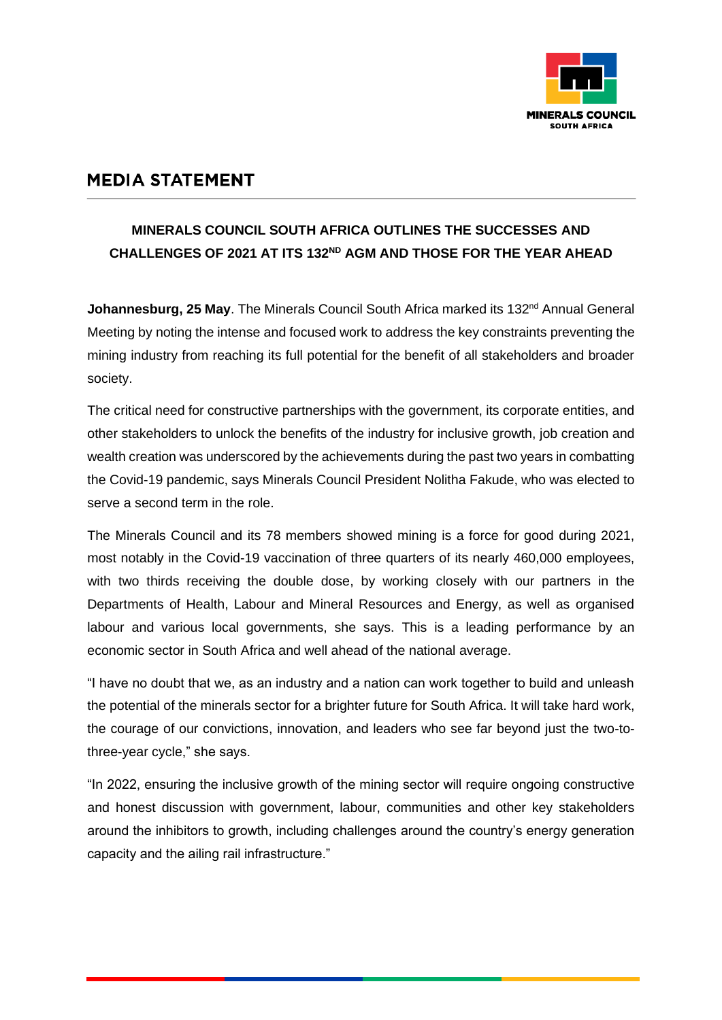

## **MEDIA STATEMENT**

## **MINERALS COUNCIL SOUTH AFRICA OUTLINES THE SUCCESSES AND CHALLENGES OF 2021 AT ITS 132ND AGM AND THOSE FOR THE YEAR AHEAD**

Johannesburg, 25 May. The Minerals Council South Africa marked its 132<sup>nd</sup> Annual General Meeting by noting the intense and focused work to address the key constraints preventing the mining industry from reaching its full potential for the benefit of all stakeholders and broader society.

The critical need for constructive partnerships with the government, its corporate entities, and other stakeholders to unlock the benefits of the industry for inclusive growth, job creation and wealth creation was underscored by the achievements during the past two years in combatting the Covid-19 pandemic, says Minerals Council President Nolitha Fakude, who was elected to serve a second term in the role.

The Minerals Council and its 78 members showed mining is a force for good during 2021, most notably in the Covid-19 vaccination of three quarters of its nearly 460,000 employees, with two thirds receiving the double dose, by working closely with our partners in the Departments of Health, Labour and Mineral Resources and Energy, as well as organised labour and various local governments, she says. This is a leading performance by an economic sector in South Africa and well ahead of the national average.

"I have no doubt that we, as an industry and a nation can work together to build and unleash the potential of the minerals sector for a brighter future for South Africa. It will take hard work, the courage of our convictions, innovation, and leaders who see far beyond just the two-tothree-year cycle," she says.

"In 2022, ensuring the inclusive growth of the mining sector will require ongoing constructive and honest discussion with government, labour, communities and other key stakeholders around the inhibitors to growth, including challenges around the country's energy generation capacity and the ailing rail infrastructure."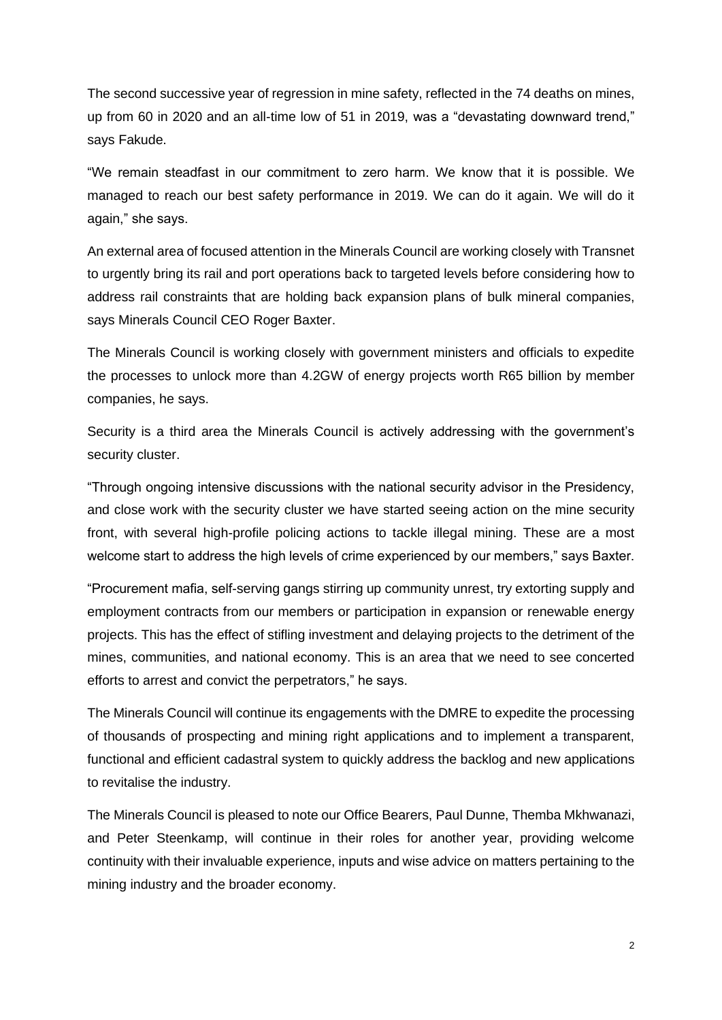The second successive year of regression in mine safety, reflected in the 74 deaths on mines, up from 60 in 2020 and an all-time low of 51 in 2019, was a "devastating downward trend," says Fakude.

"We remain steadfast in our commitment to zero harm. We know that it is possible. We managed to reach our best safety performance in 2019. We can do it again. We will do it again," she says.

An external area of focused attention in the Minerals Council are working closely with Transnet to urgently bring its rail and port operations back to targeted levels before considering how to address rail constraints that are holding back expansion plans of bulk mineral companies, says Minerals Council CEO Roger Baxter.

The Minerals Council is working closely with government ministers and officials to expedite the processes to unlock more than 4.2GW of energy projects worth R65 billion by member companies, he says.

Security is a third area the Minerals Council is actively addressing with the government's security cluster.

"Through ongoing intensive discussions with the national security advisor in the Presidency, and close work with the security cluster we have started seeing action on the mine security front, with several high-profile policing actions to tackle illegal mining. These are a most welcome start to address the high levels of crime experienced by our members," says Baxter.

"Procurement mafia, self-serving gangs stirring up community unrest, try extorting supply and employment contracts from our members or participation in expansion or renewable energy projects. This has the effect of stifling investment and delaying projects to the detriment of the mines, communities, and national economy. This is an area that we need to see concerted efforts to arrest and convict the perpetrators," he says.

The Minerals Council will continue its engagements with the DMRE to expedite the processing of thousands of prospecting and mining right applications and to implement a transparent, functional and efficient cadastral system to quickly address the backlog and new applications to revitalise the industry.

The Minerals Council is pleased to note our Office Bearers, Paul Dunne, Themba Mkhwanazi, and Peter Steenkamp, will continue in their roles for another year, providing welcome continuity with their invaluable experience, inputs and wise advice on matters pertaining to the mining industry and the broader economy.